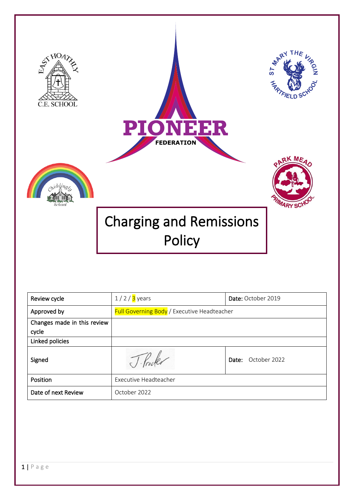

| Review cycle                         | $1/2/3$ years                                      | Date: October 2019    |
|--------------------------------------|----------------------------------------------------|-----------------------|
| Approved by                          | <b>Full Governing Body</b> / Executive Headteacher |                       |
| Changes made in this review<br>cycle |                                                    |                       |
| Linked policies                      |                                                    |                       |
| Signed                               |                                                    | October 2022<br>Date: |
| Position                             | <b>Executive Headteacher</b>                       |                       |
| Date of next Review                  | October 2022                                       |                       |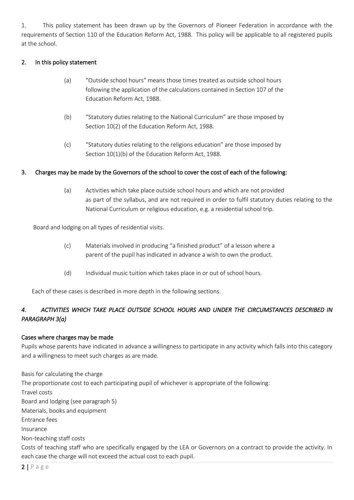1. This policy statement has been drawn up by the Governors of Pioneer Federation in accordance with the requirements of Section 110 of the Education Reform Act, 1988. This policy will be applicable to all registered pupils at the school.

# 2. In this policy statement

- (a) "Outside school hours" means those times treated as outside school hours following the application of the calculations contained in Section 107 of the Education Reform Act, 1988.
- (b) "Statutory duties relating to the National Curriculum" are those imposed by Section 10(2) of the Education Reform Act, 1988.
- (c) "Statutory duties relating to the religions education" are those imposed by Section 10(1)(b) of the Education Reform Act, 1988.

# 3. Charges may be made by the Governors of the school to cover the cost of each of the following:

(a) Activities which take place outside school hours and which are not provided as part of the syllabus, and are not required in order to fulfil statutory duties relating to the National Curriculum or religious education, e.g. a residential school trip.

Board and lodging on all types of residential visits.

- (c) Materials involved in producing "a finished product" of a lesson where a parent of the pupil has indicated in advance a wish to own the product.
- (d) Individual music tuition which takes place in or out of school hours.

Each of these cases is described in more depth in the following sections.

# *4. ACTIVITIES WHICH TAKE PLACE OUTSIDE SCHOOL HOURS AND UNDER THE CIRCUMSTANCES DESCRIBED IN PARAGRAPH 3(a)*

# Cases where charges may be made

Pupils whose parents have indicated in advance a willingness to participate in any activity which falls into this category and a willingness to meet such charges as are made.

Basis for calculating the charge The proportionate cost to each participating pupil of whichever is appropriate of the following: Travel costs Board and lodging (see paragraph 5) Materials, books and equipment Entrance fees Insurance Non-teaching staff costs Costs of teaching staff who are specifically engaged by the LEA or Governors on a contract to provide the activity. In each case the charge will not exceed the actual cost to each pupil.